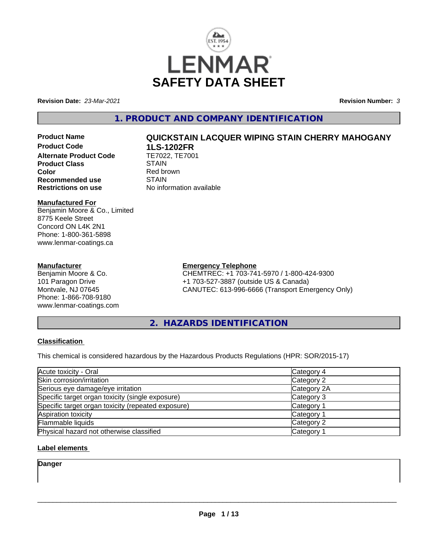

**Revision Date:** *23-Mar-2021* **Revision Number:** *3*

# **1. PRODUCT AND COMPANY IDENTIFICATION**

**Product Code 1LS-1202FR**<br>**Alternate Product Code** TE7022, TE7001 **Alternate Product Code Product Class STAIN Color**<br> **Recommended use**<br> **COLORER STAIN Recommended use**<br>Restrictions on use

# **Manufactured For**

Benjamin Moore & Co., Limited 8775 Keele Street Concord ON L4K 2N1 Phone: 1-800-361-5898 www.lenmar-coatings.ca

### **Manufacturer**

Benjamin Moore & Co. 101 Paragon Drive Montvale, NJ 07645 Phone: 1-866-708-9180 www.lenmar-coatings.com

# **Product Name QUICKSTAIN LACQUER WIPING STAIN CHERRY MAHOGANY**

**No information available** 

**Emergency Telephone**

CHEMTREC: +1 703-741-5970 / 1-800-424-9300 +1 703-527-3887 (outside US & Canada) CANUTEC: 613-996-6666 (Transport Emergency Only)

**2. HAZARDS IDENTIFICATION**

# **Classification**

This chemical is considered hazardous by the Hazardous Products Regulations (HPR: SOR/2015-17)

| Acute toxicity - Oral                              | Category 4  |  |
|----------------------------------------------------|-------------|--|
| Skin corrosion/irritation                          | Category 2  |  |
| Serious eye damage/eye irritation                  | Category 2A |  |
| Specific target organ toxicity (single exposure)   | Category 3  |  |
| Specific target organ toxicity (repeated exposure) | Category 1  |  |
| Aspiration toxicity                                | Category 1  |  |
| Flammable liquids                                  | Category 2  |  |
| Physical hazard not otherwise classified           | Category 1  |  |

# **Label elements**

**Danger**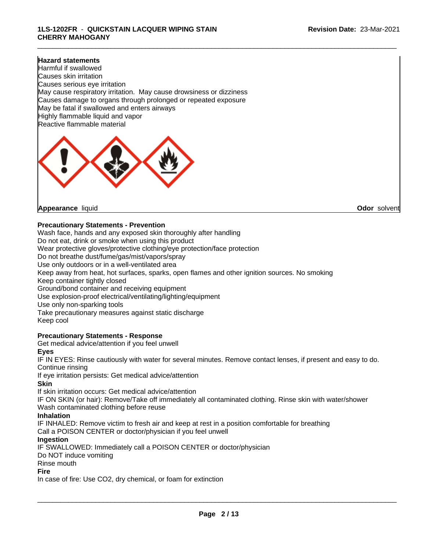#### **Hazard statements**

Harmful if swallowed Causes skin irritation Causes serious eye irritation May cause respiratory irritation. May cause drowsiness or dizziness Causes damage to organs through prolonged or repeated exposure May be fatal if swallowed and enters airways Highly flammable liquid and vapor Reactive flammable material



**Appearance** liquid **Odor** solvent

#### **Precautionary Statements - Prevention**

Wash face, hands and any exposed skin thoroughly after handling Do not eat, drink or smoke when using this product Wear protective gloves/protective clothing/eye protection/face protection Do not breathe dust/fume/gas/mist/vapors/spray Use only outdoors or in a well-ventilated area Keep away from heat, hot surfaces, sparks, open flames and other ignition sources. No smoking Keep container tightly closed Ground/bond container and receiving equipment Use explosion-proof electrical/ventilating/lighting/equipment Use only non-sparking tools Take precautionary measures against static discharge Keep cool

# **Precautionary Statements - Response**

Get medical advice/attention if you feel unwell

#### **Eyes**

IF IN EYES: Rinse cautiously with water for several minutes. Remove contact lenses, if present and easy to do. Continue rinsing

If eye irritation persists: Get medical advice/attention

### **Skin**

If skin irritation occurs: Get medical advice/attention

IF ON SKIN (or hair): Remove/Take off immediately all contaminated clothing. Rinse skin with water/shower Wash contaminated clothing before reuse

#### **Inhalation**

IF INHALED: Remove victim to fresh air and keep at rest in a position comfortable for breathing Call a POISON CENTER or doctor/physician if you feel unwell

#### **Ingestion**

IF SWALLOWED: Immediately call a POISON CENTER or doctor/physician

Do NOT induce vomiting

Rinse mouth

#### **Fire**

In case of fire: Use CO2, dry chemical, or foam for extinction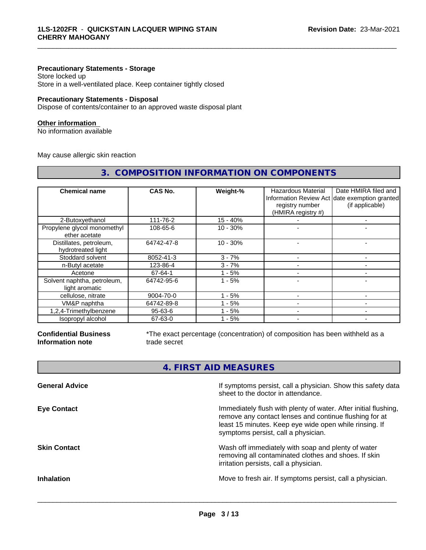### **Precautionary Statements - Storage**

Store locked up Store in a well-ventilated place. Keep container tightly closed

### **Precautionary Statements - Disposal**

Dispose of contents/container to an approved waste disposal plant

#### **Other information**

No information available

May cause allergic skin reaction

| 3. COMPOSITION INFORMATION ON COMPONENTS      |               |            |                                                             |                                                                                          |
|-----------------------------------------------|---------------|------------|-------------------------------------------------------------|------------------------------------------------------------------------------------------|
| <b>Chemical name</b>                          | CAS No.       | Weight-%   | Hazardous Material<br>registry number<br>(HMIRA registry #) | Date HMIRA filed and<br>Information Review Act date exemption granted<br>(if applicable) |
| 2-Butoxyethanol                               | 111-76-2      | 15 - 40%   |                                                             |                                                                                          |
| Propylene glycol monomethyl<br>ether acetate  | 108-65-6      | $10 - 30%$ |                                                             |                                                                                          |
| Distillates, petroleum,<br>hydrotreated light | 64742-47-8    | $10 - 30%$ |                                                             |                                                                                          |
| Stoddard solvent                              | 8052-41-3     | $3 - 7%$   |                                                             |                                                                                          |
| n-Butyl acetate                               | 123-86-4      | $3 - 7%$   |                                                             |                                                                                          |
| Acetone                                       | 67-64-1       | $1 - 5%$   |                                                             |                                                                                          |
| Solvent naphtha, petroleum,<br>light aromatic | 64742-95-6    | $1 - 5%$   |                                                             |                                                                                          |
| cellulose, nitrate                            | 9004-70-0     | 1 - 5%     |                                                             |                                                                                          |
| VM&P naphtha                                  | 64742-89-8    | 1 - 5%     |                                                             |                                                                                          |
| 1,2,4-Trimethylbenzene                        | $95 - 63 - 6$ | 1 - 5%     |                                                             |                                                                                          |
| Isopropyl alcohol                             | 67-63-0       | 1 - 5%     | $\blacksquare$                                              |                                                                                          |

#### **Confidential Business Information note**

\*The exact percentage (concentration) of composition has been withheld as a trade secret

\_\_\_\_\_\_\_\_\_\_\_\_\_\_\_\_\_\_\_\_\_\_\_\_\_\_\_\_\_\_\_\_\_\_\_\_\_\_\_\_\_\_\_\_\_\_\_\_\_\_\_\_\_\_\_\_\_\_\_\_\_\_\_\_\_\_\_\_\_\_\_\_\_\_\_\_\_\_\_\_\_\_\_\_\_\_\_\_\_\_\_\_\_

| 4. FIRST AID MEASURES |  |
|-----------------------|--|
|                       |  |

| <b>General Advice</b> | If symptoms persist, call a physician. Show this safety data<br>sheet to the doctor in attendance.                                                                                                                         |
|-----------------------|----------------------------------------------------------------------------------------------------------------------------------------------------------------------------------------------------------------------------|
| <b>Eye Contact</b>    | Immediately flush with plenty of water. After initial flushing,<br>remove any contact lenses and continue flushing for at<br>least 15 minutes. Keep eye wide open while rinsing. If<br>symptoms persist, call a physician. |
| <b>Skin Contact</b>   | Wash off immediately with soap and plenty of water<br>removing all contaminated clothes and shoes. If skin<br>irritation persists, call a physician.                                                                       |
| <b>Inhalation</b>     | Move to fresh air. If symptoms persist, call a physician.                                                                                                                                                                  |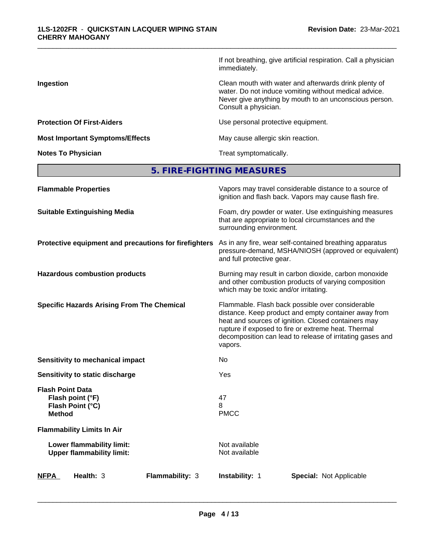|                                        | If not breathing, give artificial respiration. Call a physician<br>immediately.                                                                                                                  |
|----------------------------------------|--------------------------------------------------------------------------------------------------------------------------------------------------------------------------------------------------|
| Ingestion                              | Clean mouth with water and afterwards drink plenty of<br>water. Do not induce vomiting without medical advice.<br>Never give anything by mouth to an unconscious person.<br>Consult a physician. |
| <b>Protection Of First-Aiders</b>      | Use personal protective equipment.                                                                                                                                                               |
| <b>Most Important Symptoms/Effects</b> | May cause allergic skin reaction.                                                                                                                                                                |
| <b>Notes To Physician</b>              | Treat symptomatically.                                                                                                                                                                           |

**5. FIRE-FIGHTING MEASURES**

| <b>Flammable Properties</b>                                                      | Vapors may travel considerable distance to a source of<br>ignition and flash back. Vapors may cause flash fire.                                                                                                                                                                                |
|----------------------------------------------------------------------------------|------------------------------------------------------------------------------------------------------------------------------------------------------------------------------------------------------------------------------------------------------------------------------------------------|
| <b>Suitable Extinguishing Media</b>                                              | Foam, dry powder or water. Use extinguishing measures<br>that are appropriate to local circumstances and the<br>surrounding environment.                                                                                                                                                       |
| Protective equipment and precautions for firefighters                            | As in any fire, wear self-contained breathing apparatus<br>pressure-demand, MSHA/NIOSH (approved or equivalent)<br>and full protective gear.                                                                                                                                                   |
| <b>Hazardous combustion products</b>                                             | Burning may result in carbon dioxide, carbon monoxide<br>and other combustion products of varying composition<br>which may be toxic and/or irritating.                                                                                                                                         |
| <b>Specific Hazards Arising From The Chemical</b>                                | Flammable. Flash back possible over considerable<br>distance. Keep product and empty container away from<br>heat and sources of ignition. Closed containers may<br>rupture if exposed to fire or extreme heat. Thermal<br>decomposition can lead to release of irritating gases and<br>vapors. |
| Sensitivity to mechanical impact                                                 | No                                                                                                                                                                                                                                                                                             |
| Sensitivity to static discharge                                                  | Yes                                                                                                                                                                                                                                                                                            |
| <b>Flash Point Data</b><br>Flash point (°F)<br>Flash Point (°C)<br><b>Method</b> | 47<br>8<br><b>PMCC</b>                                                                                                                                                                                                                                                                         |
| <b>Flammability Limits In Air</b>                                                |                                                                                                                                                                                                                                                                                                |
| Lower flammability limit:<br><b>Upper flammability limit:</b>                    | Not available<br>Not available                                                                                                                                                                                                                                                                 |
| Health: 3<br>Flammability: 3<br><b>NFPA</b>                                      | Instability: 1<br><b>Special: Not Applicable</b>                                                                                                                                                                                                                                               |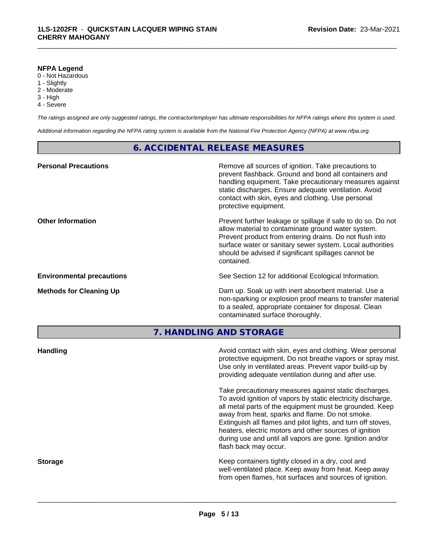#### **NFPA Legend**

- 0 Not Hazardous
- 1 Slightly
- 2 Moderate
- 3 High
- 4 Severe

*The ratings assigned are only suggested ratings, the contractor/employer has ultimate responsibilities for NFPA ratings where this system is used.*

\_\_\_\_\_\_\_\_\_\_\_\_\_\_\_\_\_\_\_\_\_\_\_\_\_\_\_\_\_\_\_\_\_\_\_\_\_\_\_\_\_\_\_\_\_\_\_\_\_\_\_\_\_\_\_\_\_\_\_\_\_\_\_\_\_\_\_\_\_\_\_\_\_\_\_\_\_\_\_\_\_\_\_\_\_\_\_\_\_\_\_\_\_

*Additional information regarding the NFPA rating system is available from the National Fire Protection Agency (NFPA) at www.nfpa.org.*

# **6. ACCIDENTAL RELEASE MEASURES**

| <b>Personal Precautions</b>      | Remove all sources of ignition. Take precautions to<br>prevent flashback. Ground and bond all containers and<br>handling equipment. Take precautionary measures against<br>static discharges. Ensure adequate ventilation. Avoid<br>contact with skin, eyes and clothing. Use personal<br>protective equipment.  |
|----------------------------------|------------------------------------------------------------------------------------------------------------------------------------------------------------------------------------------------------------------------------------------------------------------------------------------------------------------|
| <b>Other Information</b>         | Prevent further leakage or spillage if safe to do so. Do not<br>allow material to contaminate ground water system.<br>Prevent product from entering drains. Do not flush into<br>surface water or sanitary sewer system. Local authorities<br>should be advised if significant spillages cannot be<br>contained. |
| <b>Environmental precautions</b> | See Section 12 for additional Ecological Information.                                                                                                                                                                                                                                                            |
| <b>Methods for Cleaning Up</b>   | Dam up. Soak up with inert absorbent material. Use a<br>non-sparking or explosion proof means to transfer material<br>to a sealed, appropriate container for disposal. Clean<br>contaminated surface thoroughly.                                                                                                 |
|                                  | 7. HANDLING AND STORAGE                                                                                                                                                                                                                                                                                          |
| <b>Handling</b>                  | Avoid contact with skin, eyes and clothing. Wear personal<br>protective equipment. Do not breathe vapors or spray mist.<br>Use only in ventilated areas. Prevent vapor build-up by                                                                                                                               |

Take precautionary measures against static discharges. To avoid ignition of vapors by static electricity discharge, all metal parts of the equipment must be grounded. Keep away from heat, sparks and flame. Do not smoke. Extinguish all flames and pilot lights, and turn off stoves, heaters, electric motors and other sources of ignition during use and until all vapors are gone. Ignition and/or flash back may occur.

providing adequate ventilation during and after use.

**Storage Keep containers tightly closed in a dry, cool and get a dry and structure in a dry and structure in a dry and structure in a dry and structure in a dry and structure in a dry and structure in a dry and structure** well-ventilated place. Keep away from heat. Keep away from open flames, hot surfaces and sources of ignition.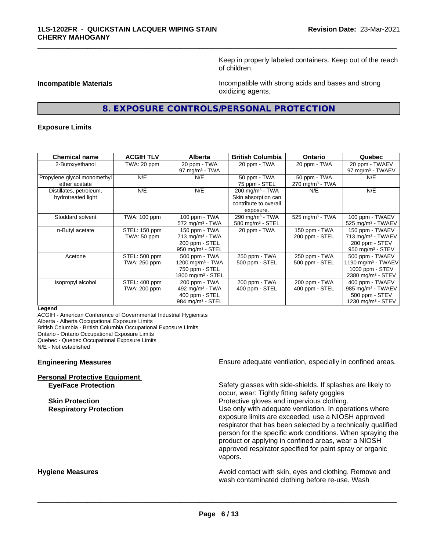Keep in properly labeled containers. Keep out of the reach of children.

**Incompatible Materials Incompatible with strong acids and bases and strong** oxidizing agents.

# **8. EXPOSURE CONTROLS/PERSONAL PROTECTION**

\_\_\_\_\_\_\_\_\_\_\_\_\_\_\_\_\_\_\_\_\_\_\_\_\_\_\_\_\_\_\_\_\_\_\_\_\_\_\_\_\_\_\_\_\_\_\_\_\_\_\_\_\_\_\_\_\_\_\_\_\_\_\_\_\_\_\_\_\_\_\_\_\_\_\_\_\_\_\_\_\_\_\_\_\_\_\_\_\_\_\_\_\_

#### **Exposure Limits**

| <b>Chemical name</b>                          | <b>ACGIH TLV</b>              | <b>Alberta</b>                                                                                   | <b>British Columbia</b>                                                                    | <b>Ontario</b>                                | Quebec                                                                                                  |
|-----------------------------------------------|-------------------------------|--------------------------------------------------------------------------------------------------|--------------------------------------------------------------------------------------------|-----------------------------------------------|---------------------------------------------------------------------------------------------------------|
| 2-Butoxyethanol                               | TWA: 20 ppm                   | 20 ppm - TWA<br>97 mg/m $3$ - TWA                                                                | 20 ppm - TWA                                                                               | 20 ppm - TWA                                  | 20 ppm - TWAEV<br>97 mg/m <sup>3</sup> - TWAEV                                                          |
| Propylene glycol monomethyl<br>ether acetate  | N/E                           | N/E                                                                                              | 50 ppm - TWA<br>75 ppm - STEL                                                              | 50 ppm - TWA<br>$270$ mg/m <sup>3</sup> - TWA | N/E                                                                                                     |
| Distillates, petroleum,<br>hydrotreated light | N/E                           | N/E                                                                                              | $200$ mg/m <sup>3</sup> - TWA<br>Skin absorption can<br>contribute to overall<br>exposure. | N/E                                           | N/E                                                                                                     |
| Stoddard solvent                              | TWA: 100 ppm                  | 100 ppm - TWA<br>$572$ mg/m <sup>3</sup> - TWA                                                   | 290 mg/m $3$ - TWA<br>580 mg/m $3 -$ STEL                                                  | 525 mg/m $3$ - TWA                            | 100 ppm - TWAEV<br>525 mg/m <sup>3</sup> - TWAEV                                                        |
| n-Butyl acetate                               | STEL: 150 ppm<br>TWA: 50 ppm  | 150 ppm - TWA<br>$713$ mg/m <sup>3</sup> - TWA<br>200 ppm - STEL<br>950 mg/m $3 -$ STEL          | 20 ppm - TWA                                                                               | 150 ppm - TWA<br>200 ppm - STEL               | 150 ppm - TWAEV<br>713 mg/m <sup>3</sup> - TWAEV<br>200 ppm - STEV<br>950 mg/m <sup>3</sup> - STEV      |
| Acetone                                       | STEL: 500 ppm<br>TWA: 250 ppm | 500 ppm - TWA<br>1200 mg/m <sup>3</sup> - TWA<br>750 ppm - STEL<br>1800 mg/m <sup>3</sup> - STEL | 250 ppm - TWA<br>500 ppm - STEL                                                            | 250 ppm - TWA<br>500 ppm - STEL               | 500 ppm - TWAEV<br>1190 mg/m <sup>3</sup> - TWAEV<br>1000 ppm $-$ STEV<br>2380 mg/m <sup>3</sup> - STEV |
| Isopropyl alcohol                             | STEL: 400 ppm<br>TWA: 200 ppm | 200 ppm - TWA<br>492 mg/m <sup>3</sup> - TWA<br>400 ppm - STEL<br>984 mg/m $3 -$ STEL            | 200 ppm - TWA<br>400 ppm - STEL                                                            | 200 ppm - TWA<br>400 ppm - STEL               | 400 ppm - TWAEV<br>985 mg/m <sup>3</sup> - TWAEV<br>500 ppm - STEV<br>1230 mg/m <sup>3</sup> - STEV     |

#### **Legend**

ACGIH - American Conference of Governmental Industrial Hygienists

Alberta - Alberta Occupational Exposure Limits

British Columbia - British Columbia Occupational Exposure Limits

Ontario - Ontario Occupational Exposure Limits

Quebec - Quebec Occupational Exposure Limits

N/E - Not established

| <b>Personal Protective Equipment</b> |  |
|--------------------------------------|--|
| <b>Eye/Face Protection</b>           |  |

**Engineering Measures Ensure adequate ventilation, especially in confined areas.** 

Safety glasses with side-shields. If splashes are likely to occur, wear: Tightly fitting safety goggles **Skin Protection Protection** Protective gloves and impervious clothing. **Respiratory Protection Number 1** (Use only with adequate ventilation. In operations where exposure limits are exceeded, use a NIOSH approved respirator that has been selected by a technically qualified person for the specific work conditions. When spraying the product or applying in confined areas, wear a NIOSH approved respirator specified for paint spray or organic vapors.

**Hygiene Measures Avoid contact with skin, eyes and clothing. Remove and Avoid contact with skin, eyes and clothing. Remove and Avoid contact with skin, eyes and clothing. Remove and** wash contaminated clothing before re-use. Wash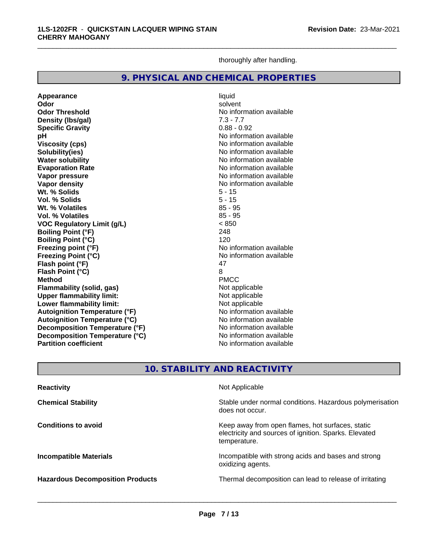thoroughly after handling.

\_\_\_\_\_\_\_\_\_\_\_\_\_\_\_\_\_\_\_\_\_\_\_\_\_\_\_\_\_\_\_\_\_\_\_\_\_\_\_\_\_\_\_\_\_\_\_\_\_\_\_\_\_\_\_\_\_\_\_\_\_\_\_\_\_\_\_\_\_\_\_\_\_\_\_\_\_\_\_\_\_\_\_\_\_\_\_\_\_\_\_\_\_

# **9. PHYSICAL AND CHEMICAL PROPERTIES**

**Appearance** liquid **Odor** solvent **Odor Threshold** No information available **Density (lbs/gal)** 7.3 - 7.7<br> **Specific Gravity** 6.88 - 0.92 **Specific Gravity**<br>pH **Viscosity (cps)** No information available **Solubility(ies)**<br> **No information available**<br> **Water solubility**<br> **Water solubility Water solubility**<br> **Evaporation Rate**<br> **Evaporation Rate**<br> **Evaporation Rate Vapor pressure**<br> **Vapor density**<br> **Vapor density**<br> **Vapor density**<br> **Vapor density** Wt. % Solids **Vol. % Solids** 5 - 15 **Wt. % Volatiles** 85 - 95 **Vol. % Volatiles VOC Regulatory Limit (g/L)** < 850 **Boiling Point (°F) Boiling Point (°C)** 120 **Freezing point (°F)**<br> **Freezing Point (°C)**<br> **Freezing Point (°C)**<br> **No** information available **Freezing Point (°C) Flash point (°F)** 47 **Flash Point (°C)** 8 **Method** PMCC **Flammability (solid, gas)** Not applicable **Upper flammability limit:**<br> **Lower flammability limit:** Not applicable Not applicable **Lower flammability limit: Autoignition Temperature (°F)** No information available **Autoignition Temperature (°C)**<br> **Decomposition Temperature (°F)** Moinformation available **Decomposition Temperature (°F) Decomposition Temperature (°C)**<br> **Partition coefficient**<br> **Partition coefficient**<br> **No** information available **Partition coefficient** 

**No information available Evaporation Rate** No information available **No information available**<br>5 - 15

# **10. STABILITY AND REACTIVITY**

| <b>Reactivity</b>                       | Not Applicable                                                                                                            |
|-----------------------------------------|---------------------------------------------------------------------------------------------------------------------------|
| <b>Chemical Stability</b>               | Stable under normal conditions. Hazardous polymerisation<br>does not occur.                                               |
| <b>Conditions to avoid</b>              | Keep away from open flames, hot surfaces, static<br>electricity and sources of ignition. Sparks. Elevated<br>temperature. |
| <b>Incompatible Materials</b>           | Incompatible with strong acids and bases and strong<br>oxidizing agents.                                                  |
| <b>Hazardous Decomposition Products</b> | Thermal decomposition can lead to release of irritating                                                                   |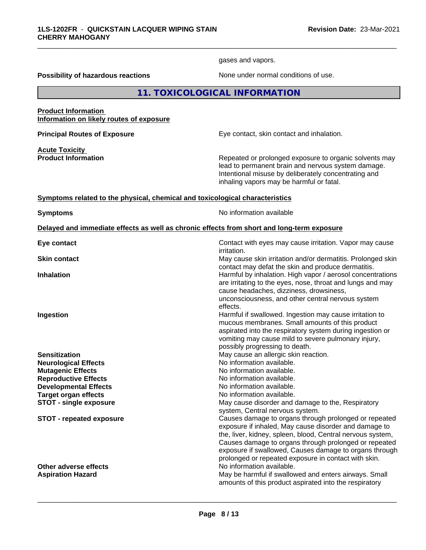gases and vapors.

\_\_\_\_\_\_\_\_\_\_\_\_\_\_\_\_\_\_\_\_\_\_\_\_\_\_\_\_\_\_\_\_\_\_\_\_\_\_\_\_\_\_\_\_\_\_\_\_\_\_\_\_\_\_\_\_\_\_\_\_\_\_\_\_\_\_\_\_\_\_\_\_\_\_\_\_\_\_\_\_\_\_\_\_\_\_\_\_\_\_\_\_\_

**Possibility of hazardous reactions** None under normal conditions of use.

# **11. TOXICOLOGICAL INFORMATION**

#### **Product Information Information on likely routes of exposure**

**Acute Toxicity** 

**Principal Routes of Exposure Exposure** Eye contact, skin contact and inhalation.

**Product Information Repeated or prolonged exposure to organic solvents may** lead to permanent brain and nervous system damage. Intentional misuse by deliberately concentrating and inhaling vapors may be harmful or fatal.

#### **<u>Symptoms related to the physical, chemical and toxicological characteristics</u>**

**Symptoms** No information available

#### **Delayed and immediate effects as well as chronic effects from short and long-term exposure**

| Eye contact                     | Contact with eyes may cause irritation. Vapor may cause<br><i>irritation.</i>                                                                                                                                                                                                                                                                           |
|---------------------------------|---------------------------------------------------------------------------------------------------------------------------------------------------------------------------------------------------------------------------------------------------------------------------------------------------------------------------------------------------------|
| <b>Skin contact</b>             | May cause skin irritation and/or dermatitis. Prolonged skin<br>contact may defat the skin and produce dermatitis.                                                                                                                                                                                                                                       |
| <b>Inhalation</b>               | Harmful by inhalation. High vapor / aerosol concentrations<br>are irritating to the eyes, nose, throat and lungs and may<br>cause headaches, dizziness, drowsiness,<br>unconsciousness, and other central nervous system<br>effects.                                                                                                                    |
| Ingestion                       | Harmful if swallowed. Ingestion may cause irritation to<br>mucous membranes. Small amounts of this product<br>aspirated into the respiratory system during ingestion or<br>vomiting may cause mild to severe pulmonary injury,<br>possibly progressing to death.                                                                                        |
| <b>Sensitization</b>            | May cause an allergic skin reaction.                                                                                                                                                                                                                                                                                                                    |
| <b>Neurological Effects</b>     | No information available.                                                                                                                                                                                                                                                                                                                               |
| <b>Mutagenic Effects</b>        | No information available.                                                                                                                                                                                                                                                                                                                               |
| <b>Reproductive Effects</b>     | No information available.                                                                                                                                                                                                                                                                                                                               |
| <b>Developmental Effects</b>    | No information available.                                                                                                                                                                                                                                                                                                                               |
| <b>Target organ effects</b>     | No information available.                                                                                                                                                                                                                                                                                                                               |
| <b>STOT - single exposure</b>   | May cause disorder and damage to the, Respiratory<br>system, Central nervous system.                                                                                                                                                                                                                                                                    |
| <b>STOT - repeated exposure</b> | Causes damage to organs through prolonged or repeated<br>exposure if inhaled, May cause disorder and damage to<br>the, liver, kidney, spleen, blood, Central nervous system,<br>Causes damage to organs through prolonged or repeated<br>exposure if swallowed, Causes damage to organs through<br>prolonged or repeated exposure in contact with skin. |
| Other adverse effects           | No information available.                                                                                                                                                                                                                                                                                                                               |
| <b>Aspiration Hazard</b>        | May be harmful if swallowed and enters airways. Small<br>amounts of this product aspirated into the respiratory                                                                                                                                                                                                                                         |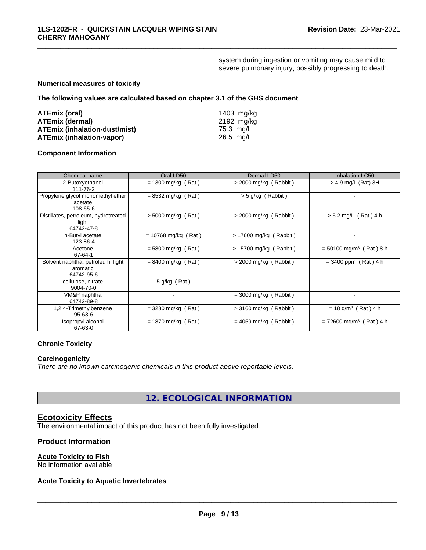system during ingestion or vomiting may cause mild to severe pulmonary injury, possibly progressing to death.

\_\_\_\_\_\_\_\_\_\_\_\_\_\_\_\_\_\_\_\_\_\_\_\_\_\_\_\_\_\_\_\_\_\_\_\_\_\_\_\_\_\_\_\_\_\_\_\_\_\_\_\_\_\_\_\_\_\_\_\_\_\_\_\_\_\_\_\_\_\_\_\_\_\_\_\_\_\_\_\_\_\_\_\_\_\_\_\_\_\_\_\_\_

#### **Numerical measures of toxicity**

**The following values are calculated based on chapter 3.1 of the GHS document**

| ATEmix (oral)                        | 1403 mg/kg |
|--------------------------------------|------------|
| <b>ATEmix (dermal)</b>               | 2192 ma/ka |
| <b>ATEmix (inhalation-dust/mist)</b> | 75.3 ma/L  |
| <b>ATEmix (inhalation-vapor)</b>     | 26.5 mg/L  |

#### **Component Information**

| Chemical name                                               | Oral LD50                | Dermal LD50             | Inhalation LC50                       |
|-------------------------------------------------------------|--------------------------|-------------------------|---------------------------------------|
| 2-Butoxyethanol<br>111-76-2                                 | $= 1300$ mg/kg (Rat)     | $>$ 2000 mg/kg (Rabbit) | > 4.9 mg/L (Rat) 3H                   |
| Propylene glycol monomethyl ether<br>acetate<br>108-65-6    | $= 8532$ mg/kg (Rat)     | > 5 g/kg (Rabbit)       |                                       |
| Distillates, petroleum, hydrotreated<br>light<br>64742-47-8 | $> 5000$ mg/kg (Rat)     | $>$ 2000 mg/kg (Rabbit) | $> 5.2$ mg/L (Rat) 4 h                |
| n-Butyl acetate<br>123-86-4                                 | $= 10768$ mg/kg (Rat)    | > 17600 mg/kg (Rabbit)  |                                       |
| Acetone<br>67-64-1                                          | $= 5800$ mg/kg (Rat)     | > 15700 mg/kg (Rabbit)  | $= 50100$ mg/m <sup>3</sup> (Rat) 8 h |
| Solvent naphtha, petroleum, light<br>aromatic<br>64742-95-6 | $= 8400$ mg/kg (Rat)     | $>$ 2000 mg/kg (Rabbit) | $= 3400$ ppm (Rat) 4 h                |
| cellulose, nitrate<br>9004-70-0                             | 5 g/kg (Rat)             |                         |                                       |
| VM&P naphtha<br>64742-89-8                                  | $\overline{\phantom{a}}$ | $= 3000$ mg/kg (Rabbit) |                                       |
| 1,2,4-Trimethylbenzene<br>$95 - 63 - 6$                     | $=$ 3280 mg/kg (Rat)     | $>$ 3160 mg/kg (Rabbit) | $= 18$ g/m <sup>3</sup> (Rat) 4 h     |
| Isopropyl alcohol<br>67-63-0                                | $= 1870$ mg/kg (Rat)     | $= 4059$ mg/kg (Rabbit) | $= 72600$ mg/m <sup>3</sup> (Rat) 4 h |

# **Chronic Toxicity**

#### **Carcinogenicity**

*There are no known carcinogenic chemicals in this product above reportable levels.*

**12. ECOLOGICAL INFORMATION**

# **Ecotoxicity Effects**

The environmental impact of this product has not been fully investigated.

### **Product Information**

# **Acute Toxicity to Fish**

No information available

# **Acute Toxicity to Aquatic Invertebrates**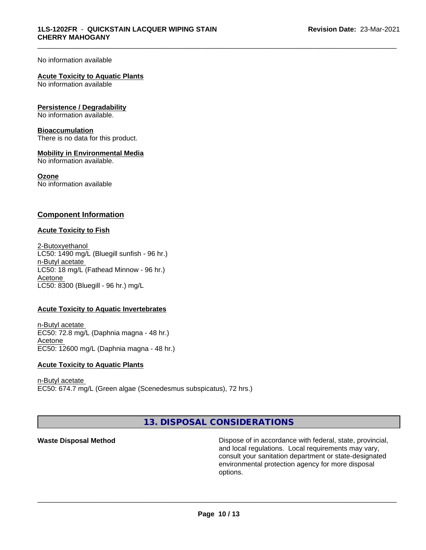#### No information available

#### **Acute Toxicity to Aquatic Plants**

No information available

#### **Persistence / Degradability**

No information available.

#### **Bioaccumulation**

There is no data for this product.

#### **Mobility in Environmental Media**

No information available.

#### **Ozone**

No information available

### **Component Information**

#### **Acute Toxicity to Fish**

2-Butoxyethanol LC50: 1490 mg/L (Bluegill sunfish - 96 hr.) n-Butyl acetate LC50: 18 mg/L (Fathead Minnow - 96 hr.) Acetone LC50: 8300 (Bluegill - 96 hr.) mg/L

#### **Acute Toxicity to Aquatic Invertebrates**

n-Butyl acetate EC50: 72.8 mg/L (Daphnia magna - 48 hr.) Acetone EC50: 12600 mg/L (Daphnia magna - 48 hr.)

#### **Acute Toxicity to Aquatic Plants**

n-Butyl acetate EC50: 674.7 mg/L (Green algae (Scenedesmus subspicatus), 72 hrs.)

**13. DISPOSAL CONSIDERATIONS**

**Waste Disposal Method Dispose of in accordance with federal, state, provincial,** and local regulations. Local requirements may vary, consult your sanitation department or state-designated environmental protection agency for more disposal options.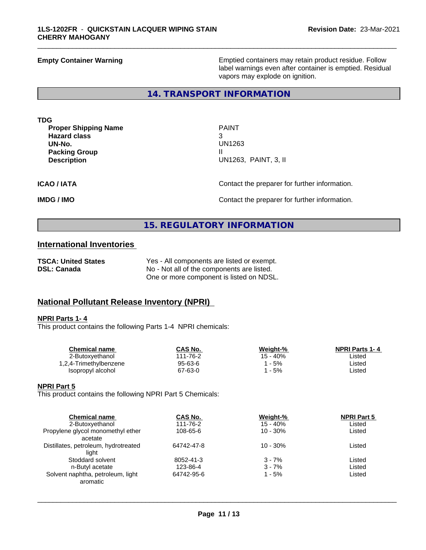**Empty Container Warning <b>Emptied** Containers may retain product residue. Follow label warnings even after container is emptied. Residual vapors may explode on ignition.

### **14. TRANSPORT INFORMATION**

| <b>TDG</b> |                             |  |
|------------|-----------------------------|--|
|            | <b>Proper Shipping Name</b> |  |

**PROPERITY** PAINT **Hazard class** 3 **Packing Group III Description** U

**UN-No.** UN1263 **Description** UN1263, PAINT, 3, II

\_\_\_\_\_\_\_\_\_\_\_\_\_\_\_\_\_\_\_\_\_\_\_\_\_\_\_\_\_\_\_\_\_\_\_\_\_\_\_\_\_\_\_\_\_\_\_\_\_\_\_\_\_\_\_\_\_\_\_\_\_\_\_\_\_\_\_\_\_\_\_\_\_\_\_\_\_\_\_\_\_\_\_\_\_\_\_\_\_\_\_\_\_

**ICAO / IATA** Contact the preparer for further information.

**IMDG / IMO IMO Contact the preparer for further information.** 

# **15. REGULATORY INFORMATION**

# **International Inventories**

| <b>TSCA: United States</b> | Yes - All components are listed or exempt. |
|----------------------------|--------------------------------------------|
| <b>DSL: Canada</b>         | No - Not all of the components are listed. |
|                            | One or more component is listed on NDSL.   |

# **National Pollutant Release Inventory (NPRI)**

#### **NPRI Parts 1- 4**

This product contains the following Parts 1-4 NPRI chemicals:

| <b>Chemical name</b>   | CAS No.  | Weight-% | <b>NPRI Parts 1-4</b> |  |
|------------------------|----------|----------|-----------------------|--|
| 2-Butoxvethanol        | 111-76-2 | 15 - 40% | ∟isted                |  |
| 1,2,4-Trimethylbenzene | 95-63-6  | - 5%     | ∟isted                |  |
| Isopropyl alcohol      | 67-63-0  | - 5%     | Listed                |  |
|                        |          |          |                       |  |

#### **NPRI Part 5**

This product contains the following NPRI Part 5 Chemicals:

| <b>Chemical name</b>                 | CAS No.    | Weight-%   | <b>NPRI Part 5</b> |  |
|--------------------------------------|------------|------------|--------------------|--|
| 2-Butoxyethanol                      | 111-76-2   | $15 - 40%$ | Listed             |  |
| Propylene glycol monomethyl ether    | 108-65-6   | $10 - 30%$ | Listed             |  |
| acetate                              |            |            |                    |  |
| Distillates, petroleum, hydrotreated | 64742-47-8 | $10 - 30%$ | Listed             |  |
| light                                |            |            |                    |  |
| Stoddard solvent                     | 8052-41-3  | $3 - 7%$   | Listed             |  |
| n-Butyl acetate                      | 123-86-4   | $3 - 7%$   | Listed             |  |
| Solvent naphtha, petroleum, light    | 64742-95-6 | 1 - 5%     | Listed             |  |
| aromatic                             |            |            |                    |  |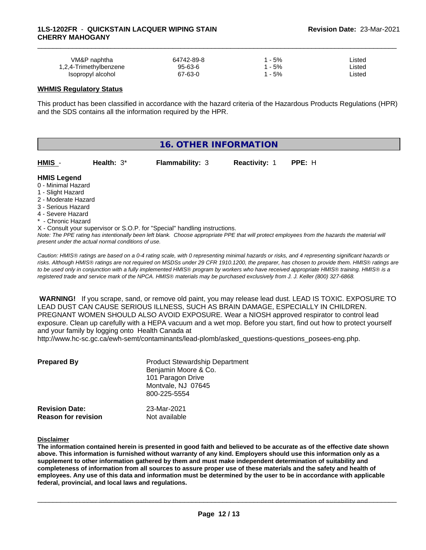| VM&P naphtha           | 64742-89-8    | 5%    | ∟isted |  |
|------------------------|---------------|-------|--------|--|
| 1,2,4-Trimethylbenzene | $95 - 63 - 6$ | $-5%$ | ∟isted |  |
| Isopropyl alcohol      | 67-63-0       | 5%    | ∟isted |  |

#### **WHMIS Regulatory Status**

This product has been classified in accordance with the hazard criteria of the Hazardous Products Regulations (HPR) and the SDS contains all the information required by the HPR.

| <b>16. OTHER INFORMATION</b>             |               |                                                                                                                                               |               |        |  |  |
|------------------------------------------|---------------|-----------------------------------------------------------------------------------------------------------------------------------------------|---------------|--------|--|--|
| HMIS -                                   | Health: $3^*$ | <b>Flammability: 3</b>                                                                                                                        | Reactivity: 1 | PPE: H |  |  |
| <b>HMIS Legend</b>                       |               |                                                                                                                                               |               |        |  |  |
| 0 - Minimal Hazard                       |               |                                                                                                                                               |               |        |  |  |
| 1 - Slight Hazard<br>2 - Moderate Hazard |               |                                                                                                                                               |               |        |  |  |
| 3 - Serious Hazard                       |               |                                                                                                                                               |               |        |  |  |
| 4 - Severe Hazard                        |               |                                                                                                                                               |               |        |  |  |
| * - Chronic Hazard                       |               |                                                                                                                                               |               |        |  |  |
|                                          |               | X - Consult your supervisor or S.O.P. for "Special" handling instructions.                                                                    |               |        |  |  |
|                                          |               | Note: The DDE rating has intentionally been left blank. Choose appropriate DDE that will protect employees from the hazards the material will |               |        |  |  |

*Note: The PPE rating has intentionally been left blank. Choose appropriate PPE that will protect employees from the hazards the material will present under the actual normal conditions of use.*

*Caution: HMISÒ ratings are based on a 0-4 rating scale, with 0 representing minimal hazards or risks, and 4 representing significant hazards or risks. Although HMISÒ ratings are not required on MSDSs under 29 CFR 1910.1200, the preparer, has chosen to provide them. HMISÒ ratings are to be used only in conjunction with a fully implemented HMISÒ program by workers who have received appropriate HMISÒ training. HMISÒ is a registered trade and service mark of the NPCA. HMISÒ materials may be purchased exclusively from J. J. Keller (800) 327-6868.*

 **WARNING!** If you scrape, sand, or remove old paint, you may release lead dust. LEAD IS TOXIC. EXPOSURE TO LEAD DUST CAN CAUSE SERIOUS ILLNESS, SUCH AS BRAIN DAMAGE, ESPECIALLY IN CHILDREN. PREGNANT WOMEN SHOULD ALSO AVOID EXPOSURE.Wear a NIOSH approved respirator to control lead exposure. Clean up carefully with a HEPA vacuum and a wet mop. Before you start, find out how to protect yourself and your family by logging onto Health Canada at

http://www.hc-sc.gc.ca/ewh-semt/contaminants/lead-plomb/asked\_questions-questions\_posees-eng.php.

| <b>Prepared By</b>                                  | <b>Product Stewardship Department</b><br>Benjamin Moore & Co.<br>101 Paragon Drive<br>Montvale, NJ 07645<br>800-225-5554 |  |
|-----------------------------------------------------|--------------------------------------------------------------------------------------------------------------------------|--|
| <b>Revision Date:</b><br><b>Reason for revision</b> | 23-Mar-2021<br>Not available                                                                                             |  |

#### **Disclaimer**

The information contained herein is presented in good faith and believed to be accurate as of the effective date shown above. This information is furnished without warranty of any kind. Employers should use this information only as a **supplement to other information gathered by them and must make independent determination of suitability and** completeness of information from all sources to assure proper use of these materials and the safety and health of employees. Any use of this data and information must be determined by the user to be in accordance with applicable **federal, provincial, and local laws and regulations.**